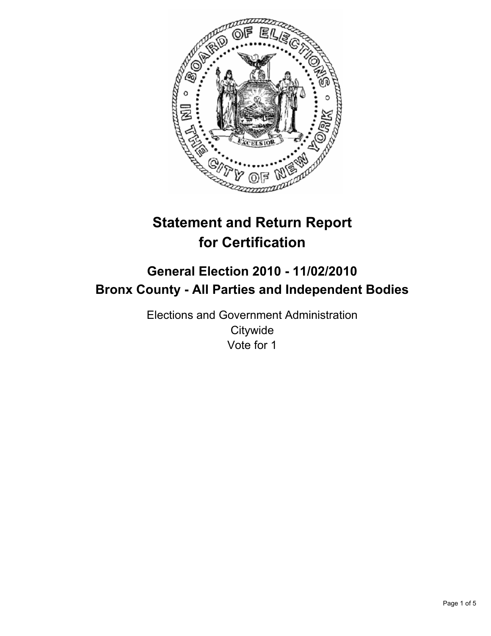

# **Statement and Return Report for Certification**

## **General Election 2010 - 11/02/2010 Bronx County - All Parties and Independent Bodies**

Elections and Government Administration **Citywide** Vote for 1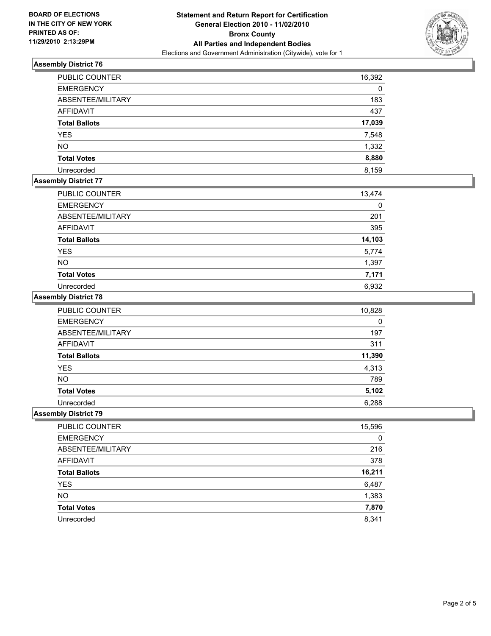

#### **Assembly District 76**

| PUBLIC COUNTER       | 16,392 |
|----------------------|--------|
| <b>EMERGENCY</b>     | 0      |
| ABSENTEE/MILITARY    | 183    |
| AFFIDAVIT            | 437    |
| <b>Total Ballots</b> | 17,039 |
| <b>YES</b>           | 7,548  |
| <b>NO</b>            | 1,332  |
| <b>Total Votes</b>   | 8,880  |
| Unrecorded           | 8.159  |

### **Assembly District 77**

| PUBLIC COUNTER       | 13,474 |
|----------------------|--------|
| <b>EMERGENCY</b>     |        |
| ABSENTEE/MILITARY    | 201    |
| AFFIDAVIT            | 395    |
| <b>Total Ballots</b> | 14,103 |
| <b>YES</b>           | 5,774  |
| <b>NO</b>            | 1,397  |
| <b>Total Votes</b>   | 7,171  |
| Unrecorded           | 6,932  |

#### **Assembly District 78**

| <b>PUBLIC COUNTER</b> | 10,828 |
|-----------------------|--------|
| <b>EMERGENCY</b>      | 0      |
| ABSENTEE/MILITARY     | 197    |
| <b>AFFIDAVIT</b>      | 311    |
| <b>Total Ballots</b>  | 11,390 |
| <b>YES</b>            | 4,313  |
| <b>NO</b>             | 789    |
| <b>Total Votes</b>    | 5,102  |
| Unrecorded            | 6,288  |

#### **Assembly District 79**

| PUBLIC COUNTER       | 15,596 |
|----------------------|--------|
| <b>EMERGENCY</b>     | 0      |
| ABSENTEE/MILITARY    | 216    |
| AFFIDAVIT            | 378    |
| <b>Total Ballots</b> | 16,211 |
| <b>YES</b>           | 6,487  |
| <b>NO</b>            | 1,383  |
| <b>Total Votes</b>   | 7,870  |
| Unrecorded           | 8,341  |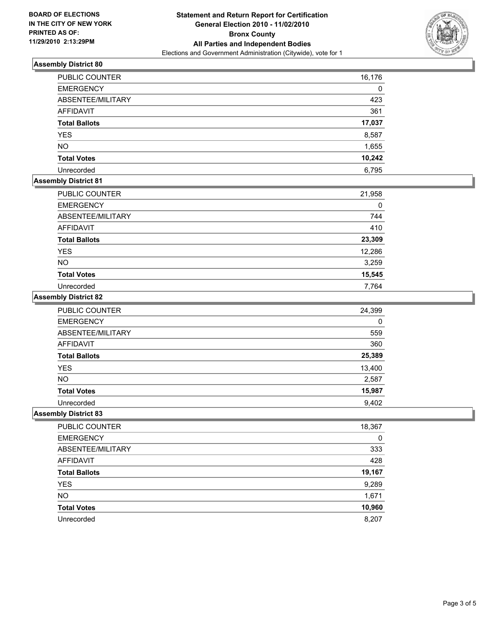

#### **Assembly District 80**

| PUBLIC COUNTER       | 16,176 |
|----------------------|--------|
| <b>EMERGENCY</b>     | 0      |
| ABSENTEE/MILITARY    | 423    |
| AFFIDAVIT            | 361    |
| <b>Total Ballots</b> | 17,037 |
| <b>YES</b>           | 8,587  |
| <b>NO</b>            | 1,655  |
| <b>Total Votes</b>   | 10,242 |
| Unrecorded           | 6,795  |

#### **Assembly District 81**

| <b>PUBLIC COUNTER</b> | 21,958 |
|-----------------------|--------|
| <b>EMERGENCY</b>      | 0      |
| ABSENTEE/MILITARY     | 744    |
| <b>AFFIDAVIT</b>      | 410    |
| <b>Total Ballots</b>  | 23,309 |
| <b>YES</b>            | 12,286 |
| <b>NO</b>             | 3,259  |
| <b>Total Votes</b>    | 15,545 |
| Unrecorded            | 7.764  |

#### **Assembly District 82**

| <b>PUBLIC COUNTER</b> | 24,399 |
|-----------------------|--------|
| <b>EMERGENCY</b>      | 0      |
| ABSENTEE/MILITARY     | 559    |
| <b>AFFIDAVIT</b>      | 360    |
| <b>Total Ballots</b>  | 25,389 |
| <b>YES</b>            | 13,400 |
| <b>NO</b>             | 2,587  |
| <b>Total Votes</b>    | 15,987 |
| Unrecorded            | 9,402  |

#### **Assembly District 83**

| PUBLIC COUNTER       | 18,367 |
|----------------------|--------|
| <b>EMERGENCY</b>     | 0      |
| ABSENTEE/MILITARY    | 333    |
| AFFIDAVIT            | 428    |
| <b>Total Ballots</b> | 19,167 |
| <b>YES</b>           | 9,289  |
| <b>NO</b>            | 1,671  |
| <b>Total Votes</b>   | 10,960 |
| Unrecorded           | 8.207  |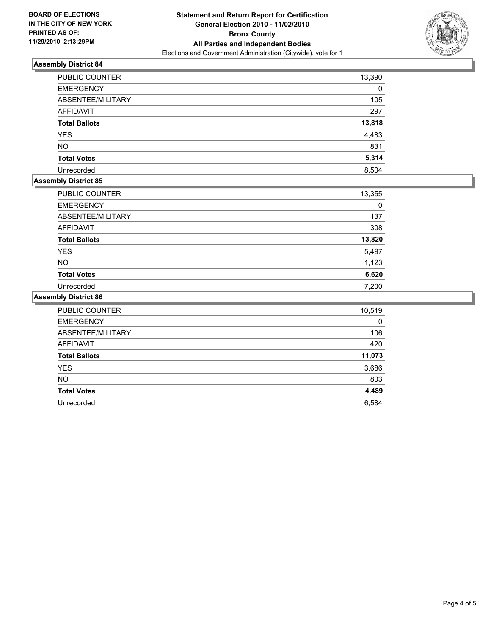

#### **Assembly District 84**

| <b>PUBLIC COUNTER</b> | 13,390 |
|-----------------------|--------|
| <b>EMERGENCY</b>      | 0      |
| ABSENTEE/MILITARY     | 105    |
| AFFIDAVIT             | 297    |
| <b>Total Ballots</b>  | 13,818 |
| <b>YES</b>            | 4,483  |
| <b>NO</b>             | 831    |
| <b>Total Votes</b>    | 5,314  |
| Unrecorded            | 8,504  |

#### **Assembly District 85**

| PUBLIC COUNTER       | 13,355 |
|----------------------|--------|
| <b>EMERGENCY</b>     | 0      |
| ABSENTEE/MILITARY    | 137    |
| AFFIDAVIT            | 308    |
| <b>Total Ballots</b> | 13,820 |
| <b>YES</b>           | 5,497  |
| <b>NO</b>            | 1,123  |
| <b>Total Votes</b>   | 6,620  |
| Unrecorded           | 7,200  |

#### **Assembly District 86**

| PUBLIC COUNTER       | 10,519 |
|----------------------|--------|
| <b>EMERGENCY</b>     | 0      |
| ABSENTEE/MILITARY    | 106    |
| <b>AFFIDAVIT</b>     | 420    |
| <b>Total Ballots</b> | 11,073 |
| <b>YES</b>           | 3,686  |
| <b>NO</b>            | 803    |
| <b>Total Votes</b>   | 4,489  |
| Unrecorded           | 6,584  |